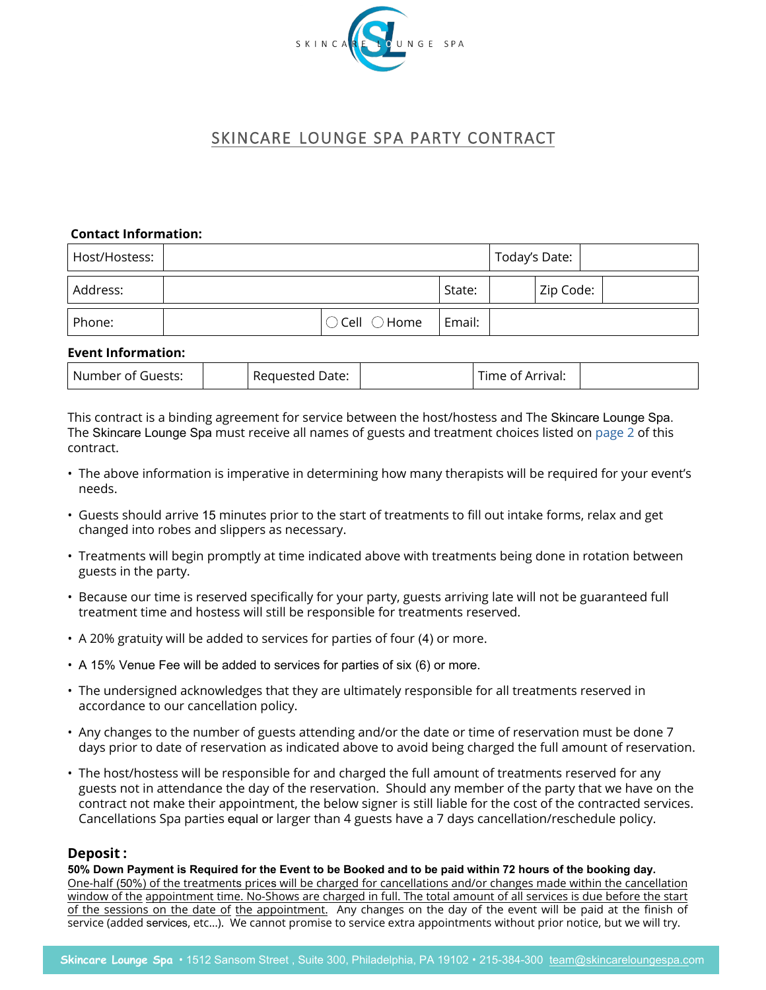

# SKINCARE LOUNGE SPA PARTY CONTRACT

#### **Contact Information:**

| Host/Hostess: |                                 |        | Today's Date: |  |
|---------------|---------------------------------|--------|---------------|--|
| Address:      |                                 | State: | Zip Code:     |  |
| Phone:        | $\bigcirc$ Cell $\bigcirc$ Home | Email: |               |  |

#### **Event Information:**

| ' Number of<br>Guests: | . 11 IASTAN<br>кеат | Date: | \rrival:<br>பு<br>Αľ<br>. |  |
|------------------------|---------------------|-------|---------------------------|--|
|------------------------|---------------------|-------|---------------------------|--|

This contract is a binding agreement for service between the host/hostess and The Skincare Lounge Spa. The Skin[care Lou](#page-1-0)nge Spa must receive all names of guests and treatment choices listed on page 2 of this contract.

- The above information is imperative in determining how many therapists will be required for your event's needs.
- Guests should arrive 15 minutes prior to the start of treatments to fill out intake forms, relax and get changed into robes and slippers as necessary.
- Treatments will begin promptly at time indicated above with treatments being done in rotation between guests in the party.
- Because our time is reserved specifically for your party, guests arriving late will not be guaranteed full treatment time and hostess will still be responsible for treatments reserved.
- A 20% gratuity will be added to services for parties of four (4) or more.
- A 15% Venue Fee will be added to services for parties of six (6) or more.
- The undersigned acknowledges that they are ultimately responsible for all treatments reserved in accordance to our cancellation policy.
- Any changes to the number of guests attending and/or the date or time of reservation must be done 7 days prior to date of reservation as indicated above to avoid being charged the full amount of reservation.
- The host/hostess will be responsible for and charged the full amount of treatments reserved for any guests not in attendance the day of the reservation. Should any member of the party that we have on the contract not make their appointment, the below signer is still liable for the cost of the contracted services. Cancellations Spa parties equal or larger than 4 guests have a 7 days cancellation/reschedule policy.

#### **Deposit :**

**50% Down Payment is Required for the Event to be Booked and to be paid within 72 hours of the booking day.** One-half (50%) of the treatments prices will be charged for cancellations and/or changes made within the cancellation window of the appointment time. No-Shows are charged in full. The total amount of all services is due before the start of the sessions on the date of the appointment. Any changes on the day of the event will be paid at the finish of service (added services, etc…). We cannot promise to service extra appointments without prior notice, but we will try.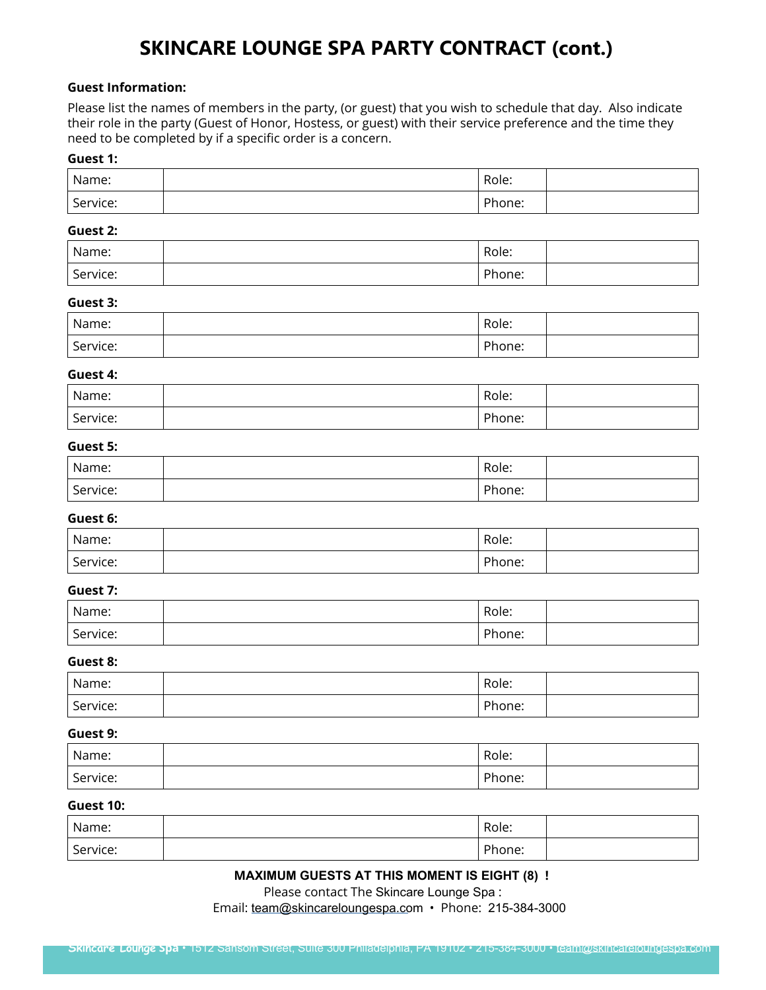# **SKINCARE LOUNGE SPA PARTY CONTRACT (cont.)**

#### <span id="page-1-0"></span>**Guest Information:**

Please list the names of members in the party, (or guest) that you wish to schedule that day. Also indicate their role in the party (Guest of Honor, Hostess, or guest) with their service preference and the time they need to be completed by if a specific order is a concern.

#### **Guest 1:**

| Name:    | Role:  |  |
|----------|--------|--|
| Service: | Phone: |  |

#### **Guest 2:**

| Name:    | Role:  |  |
|----------|--------|--|
| Service: | Phone: |  |

#### **Guest 3:**

| Name:    | Role:  |  |
|----------|--------|--|
| Service: | Phone: |  |

#### **Guest 4:**

| Name:    | Role:  |  |
|----------|--------|--|
| Service: | Phone: |  |

### **Guest 5:**

| Name:    | Role:  |  |
|----------|--------|--|
| Service: | Phone: |  |

#### **Guest 6:**

| Name:    | Role:  |  |
|----------|--------|--|
| Service: | Phone: |  |

#### **Guest 7:**

| Name:    | Role:  |  |
|----------|--------|--|
| Service: | Phone: |  |

#### **Guest 8:**

| Name:    | Role:  |  |
|----------|--------|--|
| Service: | Phone: |  |

#### **Guest 9:**

| Name:    | Role:  |  |
|----------|--------|--|
| Service: | Phone: |  |

### **Guest 10:**

| Name:    | Role:  |  |
|----------|--------|--|
| Service: | Phone: |  |

# **MAXIMUM GUESTS AT THIS MOMENT IS EIGHT (8) !**

Please contact The Skincare Lounge Spa :

Email: [team@skincareloungespa.co](mailto:relax%40thebodyserene.com?subject=Spa%20Party%20Request)m · Phone: 215-384-3000